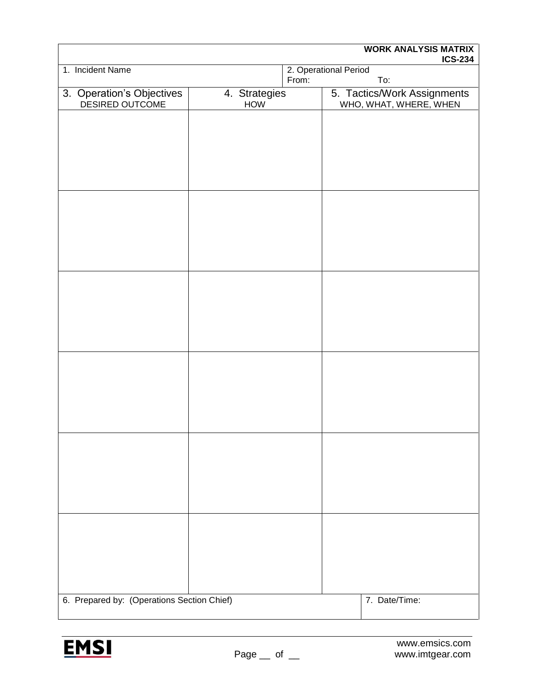| <b>WORK ANALYSIS MATRIX</b><br><b>ICS-234</b> |                      |               |                                                       |  |
|-----------------------------------------------|----------------------|---------------|-------------------------------------------------------|--|
| 1. Incident Name<br>From:                     |                      |               | 2. Operational Period<br>To:                          |  |
| 3. Operation's Objectives<br>DESIRED OUTCOME  | 4. Strategies<br>HOW |               | 5. Tactics/Work Assignments<br>WHO, WHAT, WHERE, WHEN |  |
|                                               |                      |               |                                                       |  |
|                                               |                      |               |                                                       |  |
|                                               |                      |               |                                                       |  |
|                                               |                      |               |                                                       |  |
|                                               |                      |               |                                                       |  |
|                                               |                      |               |                                                       |  |
|                                               |                      |               |                                                       |  |
|                                               |                      |               |                                                       |  |
|                                               |                      |               |                                                       |  |
|                                               |                      |               |                                                       |  |
|                                               |                      |               |                                                       |  |
|                                               |                      |               |                                                       |  |
|                                               |                      |               |                                                       |  |
|                                               |                      |               |                                                       |  |
|                                               |                      |               |                                                       |  |
|                                               |                      |               |                                                       |  |
|                                               |                      |               |                                                       |  |
|                                               |                      |               |                                                       |  |
|                                               |                      |               |                                                       |  |
|                                               |                      |               |                                                       |  |
|                                               |                      |               |                                                       |  |
|                                               |                      |               |                                                       |  |
| 6. Prepared by: (Operations Section Chief)    |                      | 7. Date/Time: |                                                       |  |